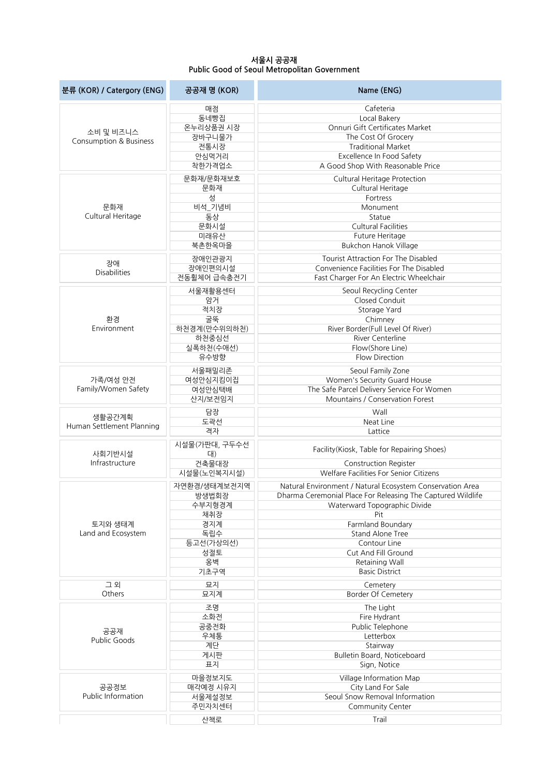## **서울시 공공재 Public Good of Seoul Metropolitan Government**

| 분류 (KOR) / Catergory (ENG) | 공공재 명 (KOR)        | Name (ENG)                                                  |
|----------------------------|--------------------|-------------------------------------------------------------|
|                            | 매점                 | Cafeteria                                                   |
|                            | 동네빵집               | Local Bakery                                                |
| 소비 및 비즈니스                  | 온누리상품권 시장          | Onnuri Gift Certificates Market                             |
| Consumption & Business     | 장바구니물가             | The Cost Of Grocery                                         |
|                            | 전통시장               | <b>Traditional Market</b>                                   |
|                            | 안심먹거리              | Excellence In Food Safety                                   |
|                            | 착한가격업소             | A Good Shop With Reasonable Price                           |
|                            | 문화재/문화재보호          | Cultural Heritage Protection                                |
|                            | 문화재                | Cultural Heritage                                           |
|                            | 성                  | Fortress                                                    |
| 문화재                        | 비석_기념비             | Monument                                                    |
| Cultural Heritage          | 동상                 | Statue                                                      |
|                            | 문화시설               | <b>Cultural Facilities</b>                                  |
|                            | 미래유산               | Future Heritage                                             |
|                            | 북촌한옥마을             | <b>Bukchon Hanok Village</b>                                |
|                            | 장애인관광지             | <b>Tourist Attraction For The Disabled</b>                  |
| 장애                         | 장애인편의시설            | Convenience Facilities For The Disabled                     |
| <b>Disabilities</b>        | 전동휠체어 급속충전기        | Fast Charger For An Electric Wheelchair                     |
|                            | 서울재활용센터            | Seoul Recycling Center                                      |
|                            | 암거                 | Closed Conduit                                              |
|                            | 적치장                | Storage Yard                                                |
| 환경                         | 굴뚝                 | Chimney                                                     |
| Environment                | 하천경계(만수위의하천)       | River Border(Full Level Of River)                           |
|                            | 하천중심선              | River Centerline                                            |
|                            | 실폭하천(수애선)          | Flow(Shore Line)                                            |
|                            | 유수방향               | <b>Flow Direction</b>                                       |
|                            | 서울패밀리존             |                                                             |
| 가족/여성 안전                   |                    | Seoul Family Zone<br>Women's Security Guard House           |
| Family/Women Safety        | 여성안심지킴이집<br>여성안심택배 | The Safe Parcel Delivery Service For Women                  |
|                            | 산지/보전임지            | Mountains / Conservation Forest                             |
|                            |                    |                                                             |
| 생활공간계획                     | 담장                 | Wall                                                        |
| Human Settlement Planning  | 도곽선                | Neat Line                                                   |
|                            | 격자                 | Lattice                                                     |
|                            | 시설물(가판대, 구두수선      | Facility(Kiosk, Table for Repairing Shoes)                  |
| 사회기반시설                     | 대)                 |                                                             |
| Infrastructure             | 건축물대장              | <b>Construction Register</b>                                |
|                            | 시설물(노인복지시설)        | Welfare Facilities For Senior Citizens                      |
|                            | 자연환경/생태계보전지역       | Natural Environment / Natural Ecosystem Conservation Area   |
|                            | 방생법회장              | Dharma Ceremonial Place For Releasing The Captured Wildlife |
|                            | 수부지형경계             | Waterward Topographic Divide                                |
|                            | 채취장                | Pit                                                         |
| 토지와 생태계                    | 경지계                | Farmland Boundary                                           |
| Land and Ecosystem         | 독립수                | <b>Stand Alone Tree</b>                                     |
|                            | 등고선(가상의선)          | Contour Line                                                |
|                            | 성절토                | Cut And Fill Ground                                         |
|                            | 옹벽                 | Retaining Wall                                              |
|                            | 기초구역               | <b>Basic District</b>                                       |
| 그 외                        | 묘지                 | Cemetery                                                    |
| Others                     | 묘지계                | <b>Border Of Cemetery</b>                                   |
|                            | 조명                 | The Light                                                   |
|                            | 소화전                | Fire Hydrant                                                |
|                            | 공중전화               | Public Telephone                                            |
| 공공재<br>Public Goods        | 우체통                | Letterbox                                                   |
|                            | 계단                 | Stairway                                                    |
|                            | 게시판                | Bulletin Board, Noticeboard                                 |
|                            | 표지                 | Sign, Notice                                                |
|                            | 마을정보지도             | Village Information Map                                     |
| 공공정보                       | 매각예정 시유지           | City Land For Sale                                          |
| Public Information         | 서울제설정보             | Seoul Snow Removal Information                              |
|                            | 주민자치센터             | Community Center                                            |
|                            | 산책로                | Trail                                                       |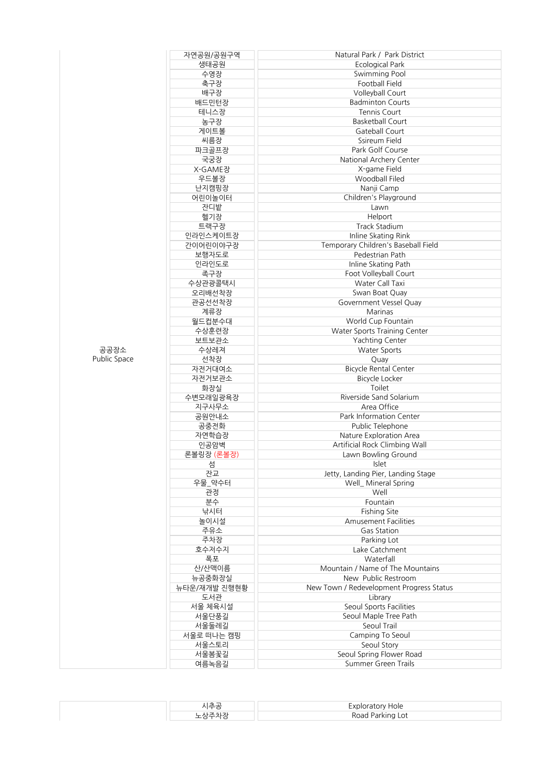|              | 자연공원/공원구역    | Natural Park / Park District             |
|--------------|--------------|------------------------------------------|
|              | 생태공원         | Ecological Park                          |
|              | 수영장          | Swimming Pool                            |
|              | 축구장          | <b>Football Field</b>                    |
|              |              |                                          |
|              | 배구장          | Volleyball Court                         |
|              | 배드민턴장        | <b>Badminton Courts</b>                  |
|              | 테니스장         | <b>Tennis Court</b>                      |
|              | 농구장          | <b>Basketball Court</b>                  |
|              |              |                                          |
|              | 게이트볼         | Gateball Court                           |
|              | 씨름장          | Ssireum Field                            |
|              | 파크골프장        | Park Golf Course                         |
|              | 국궁장          | National Archery Center                  |
|              | X-GAME장      | X-game Field                             |
|              |              |                                          |
|              | 우드볼장         | <b>Woodball Filed</b>                    |
|              | 난지캠핑장        | Nanji Camp                               |
|              | 어린이놀이터       | Children's Playground                    |
|              | 잔디밭          | Lawn                                     |
|              | 헬기장          | Helport                                  |
|              |              |                                          |
|              | 트랙구장         | <b>Track Stadium</b>                     |
|              | 인라인스케이트장     | Inline Skating Rink                      |
|              | 간이어린이야구장     | Temporary Children's Baseball Field      |
|              | 보행자도로        | Pedestrian Path                          |
|              | 인라인도로        | Inline Skating Path                      |
|              |              |                                          |
|              | 족구장          | Foot Volleyball Court                    |
|              | 수상관광콜택시      | Water Call Taxi                          |
|              | 오리배선착장       | Swan Boat Quay                           |
|              | 관공선선착장       | Government Vessel Quay                   |
|              | 계류장          | <b>Marinas</b>                           |
|              | 월드컵분수대       | World Cup Fountain                       |
|              |              |                                          |
|              | 수상훈련장        | Water Sports Training Center             |
|              | 보트보관소        | Yachting Center                          |
| 공공장소         | 수상레져         | Water Sports                             |
| Public Space | 선착장          | Quay                                     |
|              | 자전거대여소       | <b>Bicycle Rental Center</b>             |
|              | 자전거보관소       | <b>Bicycle Locker</b>                    |
|              | 화장실          | Toilet                                   |
|              |              |                                          |
|              | 수변모래일광욕장     | Riverside Sand Solarium                  |
|              | 지구사무소        | Area Office                              |
|              | 공원안내소        | <b>Park Information Center</b>           |
|              | 공중전화         | Public Telephone                         |
|              | 자연학습장        | Nature Exploration Area                  |
|              | 인공암벽         | Artificial Rock Climbing Wall            |
|              | 론볼링장 (론볼장)   | Lawn Bowling Ground                      |
|              |              |                                          |
|              | 섬            | Islet                                    |
|              | 잔교           | Jetty, Landing Pier, Landing Stage       |
|              | 우물_약수터       | Well_ Mineral Spring                     |
|              | 관정           | Well                                     |
|              | 분수           | Fountain                                 |
|              | 낚시터          | Fishing Site                             |
|              |              |                                          |
|              | 놀이시설         | <b>Amusement Facilities</b>              |
|              | 주유소          | Gas Station                              |
|              | 주차장          | Parking Lot                              |
|              | 호수저수지        | Lake Catchment                           |
|              | 폭포           | Waterfall                                |
|              | 산/산맥이름       | Mountain / Name of The Mountains         |
|              | 뉴공중화장실       | New Public Restroom                      |
|              |              |                                          |
|              | 뉴타운/재개발 진행현황 | New Town / Redevelopment Progress Status |
|              | 도서관          | Library                                  |
|              | 서울 체육시설      | Seoul Sports Facilities                  |
|              | 서울단풍길        | Seoul Maple Tree Path                    |
|              | 서울둘레길        | Seoul Trail                              |
|              | 서울로 떠나는 캠핑   | Camping To Seoul                         |
|              | 서울스토리        | Seoul Story                              |
|              |              |                                          |
|              | 서울봄꽃길        | Seoul Spring Flower Road                 |
|              | 여름녹음길        | Summer Green Trails                      |

| 츠곡     | – ⊻nioratory <del>n</del><br>: Hole |
|--------|-------------------------------------|
| $-1-1$ | Road Parking Lot                    |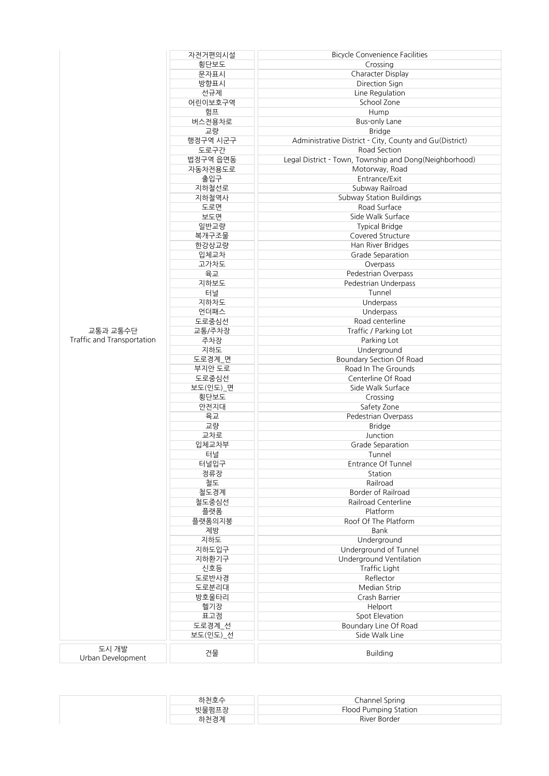|                            | 자전거편의시설  | <b>Bicycle Convenience Facilities</b>                   |
|----------------------------|----------|---------------------------------------------------------|
|                            | 횡단보도     | Crossing                                                |
|                            | 문자표시     | Character Display                                       |
|                            | 방향표시     | Direction Sign                                          |
|                            | 선규제      | Line Regulation                                         |
|                            | 어린이보호구역  | School Zone                                             |
|                            | 험프       | Hump                                                    |
|                            | 버스전용차로   | <b>Bus-only Lane</b>                                    |
|                            | 교량       | <b>Bridge</b>                                           |
|                            | 행정구역 시군구 | Administrative District - City, County and Gu(District) |
|                            | 도로구간     | Road Section                                            |
|                            | 법정구역 읍면동 | Legal District - Town, Township and Dong(Neighborhood)  |
|                            | 자동차전용도로  | Motorway, Road                                          |
|                            | 출입구      | Entrance/Exit                                           |
|                            | 지하철선로    | Subway Railroad                                         |
|                            | 지하철역사    | Subway Station Buildings                                |
|                            | 도로면      | Road Surface                                            |
|                            | 보도면      | Side Walk Surface                                       |
|                            | 일반교량     | <b>Typical Bridge</b>                                   |
|                            | 복개구조물    | Covered Structure                                       |
|                            | 한강상교량    | Han River Bridges                                       |
|                            | 입체교차     | Grade Separation                                        |
|                            | 고가차도     | Overpass                                                |
|                            | 육교       | Pedestrian Overpass                                     |
|                            | 지하보도     | Pedestrian Underpass                                    |
|                            | 터널       | Tunnel                                                  |
|                            | 지하차도     | Underpass                                               |
|                            | 언더패스     | Underpass                                               |
|                            | 도로중심선    | Road centerline                                         |
| 교통과 교통수단                   | 교통/주차장   | Traffic / Parking Lot                                   |
| Traffic and Transportation | 주차장      | Parking Lot                                             |
|                            | 지하도      | Underground                                             |
|                            | 도로경계_면   | Boundary Section Of Road                                |
|                            | 부지안 도로   | Road In The Grounds                                     |
|                            | 도로중심선    | Centerline Of Road                                      |
|                            | 보도(인도) 면 | Side Walk Surface                                       |
|                            | 횡단보도     | Crossing                                                |
|                            | 안전지대     | Safety Zone                                             |
|                            | 육교       | Pedestrian Overpass                                     |
|                            | 교량       | <b>Bridge</b>                                           |
|                            | 교차로      | Junction                                                |
|                            | 입체교차부    | Grade Separation                                        |
|                            | 터널       | Tunnel                                                  |
|                            | 터널입구     | Entrance Of Tunnel                                      |
|                            | 정류장      | Station                                                 |
|                            | 철도       | Railroad                                                |
|                            | 철도경계     | Border of Railroad                                      |
|                            | 철도중심선    | Railroad Centerline                                     |
|                            | 플랫폼      | Platform                                                |
|                            | 플랫폼의지붕   | Roof Of The Platform                                    |
|                            | 제방       | Bank                                                    |
|                            | 지하도      | Underground                                             |
|                            | 지하도입구    | Underground of Tunnel                                   |
|                            | 지하환기구    | Underground Ventilation                                 |
|                            | 신호등      | Traffic Light                                           |
|                            | 도로반사경    | Reflector                                               |
|                            | 도로분리대    | Median Strip                                            |
|                            | 방호울타리    | Crash Barrier                                           |
|                            | 헬기장      | Helport                                                 |
|                            | 표고점      | Spot Elevation                                          |
|                            | 도로경계_선   | Boundary Line Of Road                                   |
|                            | 보도(인도)_선 | Side Walk Line                                          |
| 도시 개발                      |          |                                                         |
| Urban Development          | 건물       | <b>Building</b>                                         |
|                            |          |                                                         |

|       | Channel Spring        |
|-------|-----------------------|
| 빗물펌프장 | Flood Pumping Station |
| 내키 겨게 | River Border          |